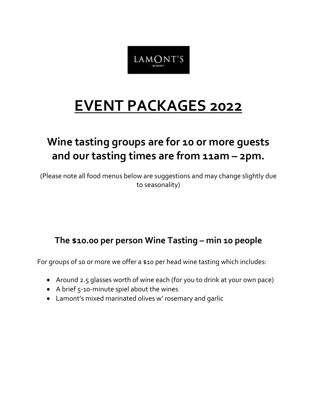

## **EVENT PACKAGES 2022**

### **Wine tasting groups are for 10 or more guests and our tasting times are from 11am – 2pm.**

(Please note all food menus below are suggestions and may change slightly due to seasonality)

### **The \$10.00 per person Wine Tasting – min 10 people**

For groups of 10 or more we offer a \$10 per head wine tasting which includes:

- Around 2.5 glasses worth of wine each (for you to drink at your own pace)
- A brief 5-10-minute spiel about the wines
- Lamont's mixed marinated olives w' rosemary and garlic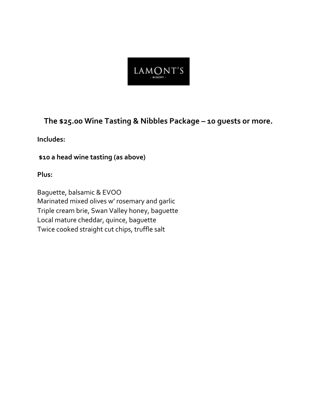

### **The \$25.00 Wine Tasting & Nibbles Package – 10 guests or more.**

### **Includes:**

**\$10 a head wine tasting (as above)**

**Plus:**

Baguette, balsamic & EVOO Marinated mixed olives w' rosemary and garlic Triple cream brie, Swan Valley honey, baguette Local mature cheddar, quince, baguette Twice cooked straight cut chips, truffle salt